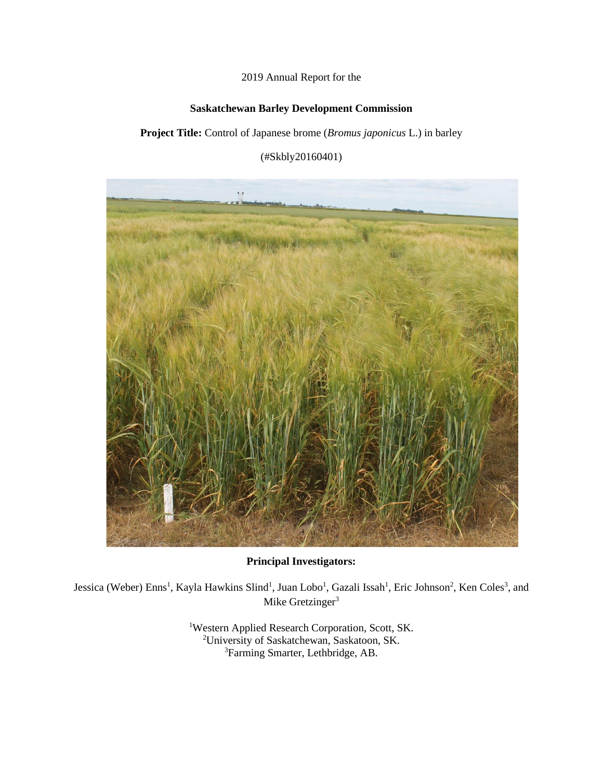# 2019 Annual Report for the

# **Saskatchewan Barley Development Commission**

**Project Title:** Control of Japanese brome (*Bromus japonicus* L.) in barley

(#Skbly20160401)



**Principal Investigators:**

Jessica (Weber) Enns<sup>1</sup>, Kayla Hawkins Slind<sup>1</sup>, Juan Lobo<sup>1</sup>, Gazali Issah<sup>1</sup>, Eric Johnson<sup>2</sup>, Ken Coles<sup>3</sup>, and Mike Gretzinger<sup>3</sup>

> <sup>1</sup>Western Applied Research Corporation, Scott, SK. <sup>2</sup>University of Saskatchewan, Saskatoon, SK. 3Farming Smarter, Lethbridge, AB.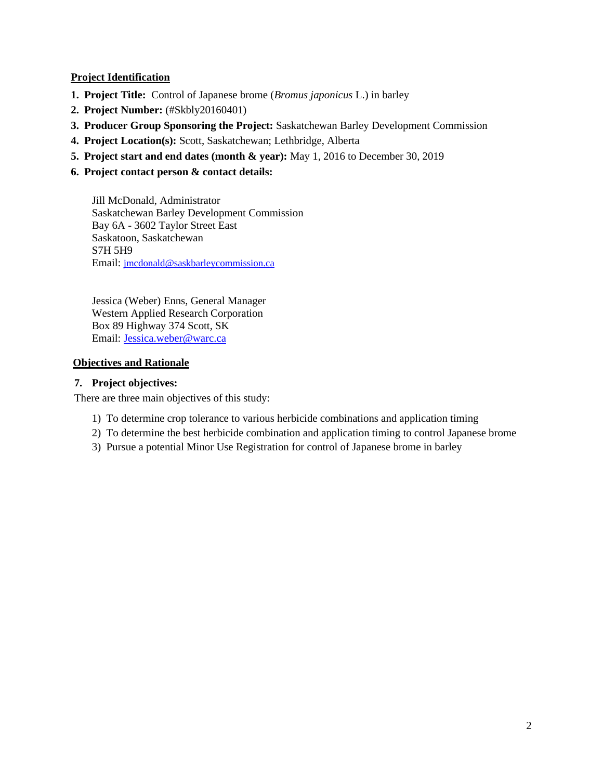## **Project Identification**

- **1. Project Title:** Control of Japanese brome (*Bromus japonicus* L.) in barley
- **2. Project Number:** (#Skbly20160401)
- **3. Producer Group Sponsoring the Project:** Saskatchewan Barley Development Commission
- **4. Project Location(s):** Scott, Saskatchewan; Lethbridge, Alberta
- **5. Project start and end dates (month & year):** May 1, 2016 to December 30, 2019
- **6. Project contact person & contact details:**

Jill McDonald, Administrator Saskatchewan Barley Development Commission Bay 6A - 3602 Taylor Street East Saskatoon, Saskatchewan S7H 5H9 Email: [jmcdonald@saskbarleycommission.ca](mailto:jmcdonald@saskbarleycommission.ca)

Jessica (Weber) Enns, General Manager Western Applied Research Corporation Box 89 Highway 374 Scott, SK Email: [Jessica.weber@warc.ca](mailto:Jessica.weber@warc.ca)

## **Objectives and Rationale**

## **7. Project objectives:**

There are three main objectives of this study:

- 1) To determine crop tolerance to various herbicide combinations and application timing
- 2) To determine the best herbicide combination and application timing to control Japanese brome
- 3) Pursue a potential Minor Use Registration for control of Japanese brome in barley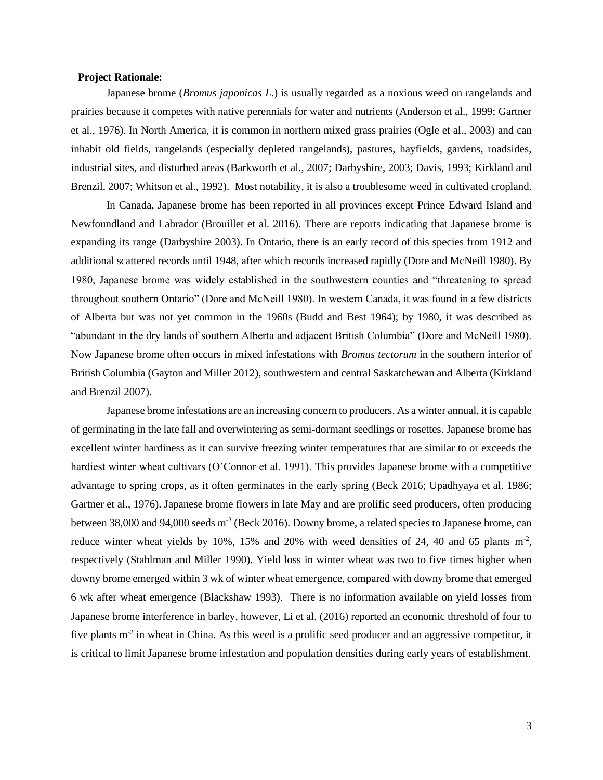#### **Project Rationale:**

Japanese brome (*Bromus japonicas L.*) is usually regarded as a noxious weed on rangelands and prairies because it competes with native perennials for water and nutrients (Anderson et al., 1999; Gartner et al., 1976). In North America, it is common in northern mixed grass prairies (Ogle et al., 2003) and can inhabit old fields, rangelands (especially depleted rangelands), pastures, hayfields, gardens, roadsides, industrial sites, and disturbed areas (Barkworth et al., 2007; Darbyshire, 2003; Davis, 1993; Kirkland and Brenzil, 2007; Whitson et al., 1992). Most notability, it is also a troublesome weed in cultivated cropland.

In Canada, Japanese brome has been reported in all provinces except Prince Edward Island and Newfoundland and Labrador (Brouillet et al. 2016). There are reports indicating that Japanese brome is expanding its range (Darbyshire 2003). In Ontario, there is an early record of this species from 1912 and additional scattered records until 1948, after which records increased rapidly (Dore and McNeill 1980). By 1980, Japanese brome was widely established in the southwestern counties and "threatening to spread throughout southern Ontario" (Dore and McNeill 1980). In western Canada, it was found in a few districts of Alberta but was not yet common in the 1960s (Budd and Best 1964); by 1980, it was described as "abundant in the dry lands of southern Alberta and adjacent British Columbia" (Dore and McNeill 1980). Now Japanese brome often occurs in mixed infestations with *Bromus tectorum* in the southern interior of British Columbia (Gayton and Miller 2012), southwestern and central Saskatchewan and Alberta (Kirkland and Brenzil 2007).

Japanese brome infestations are an increasing concern to producers. As a winter annual, it is capable of germinating in the late fall and overwintering as semi-dormant seedlings or rosettes. Japanese brome has excellent winter hardiness as it can survive freezing winter temperatures that are similar to or exceeds the hardiest winter wheat cultivars (O'Connor et al. 1991). This provides Japanese brome with a competitive advantage to spring crops, as it often germinates in the early spring (Beck 2016; Upadhyaya et al. 1986; Gartner et al., 1976). Japanese brome flowers in late May and are prolific seed producers, often producing between 38,000 and 94,000 seeds m<sup>-2</sup> (Beck 2016). Downy brome, a related species to Japanese brome, can reduce winter wheat yields by 10%, 15% and 20% with weed densities of 24, 40 and 65 plants  $m<sup>2</sup>$ , respectively (Stahlman and Miller 1990). Yield loss in winter wheat was two to five times higher when downy brome emerged within 3 wk of winter wheat emergence, compared with downy brome that emerged 6 wk after wheat emergence (Blackshaw 1993). There is no information available on yield losses from Japanese brome interference in barley, however, Li et al. (2016) reported an economic threshold of four to five plants m<sup>-2</sup> in wheat in China. As this weed is a prolific seed producer and an aggressive competitor, it is critical to limit Japanese brome infestation and population densities during early years of establishment.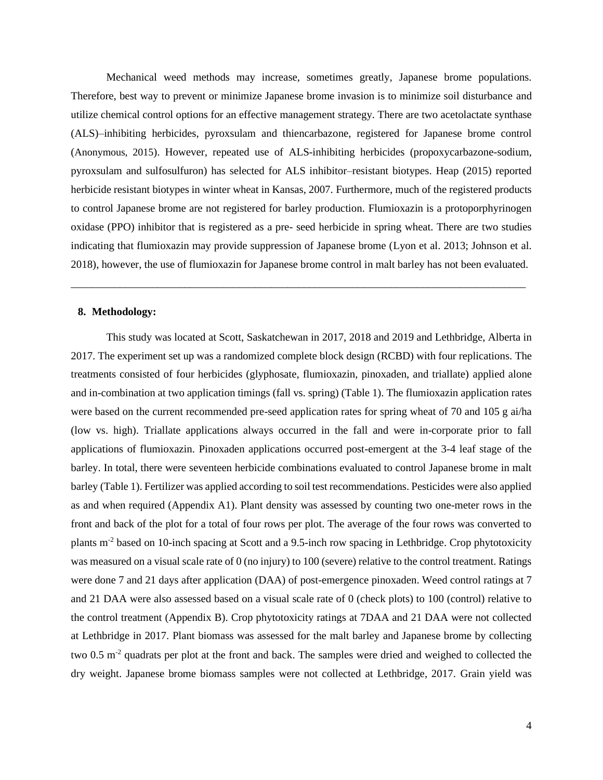Mechanical weed methods may increase, sometimes greatly, Japanese brome populations. Therefore, best way to prevent or minimize Japanese brome invasion is to minimize soil disturbance and utilize chemical control options for an effective management strategy. There are two acetolactate synthase (ALS)–inhibiting herbicides, pyroxsulam and thiencarbazone, registered for Japanese brome control (Anonymous, 2015). However, repeated use of ALS-inhibiting herbicides (propoxycarbazone-sodium, pyroxsulam and sulfosulfuron) has selected for ALS inhibitor–resistant biotypes. Heap (2015) reported herbicide resistant biotypes in winter wheat in Kansas, 2007. Furthermore, much of the registered products to control Japanese brome are not registered for barley production. Flumioxazin is a protoporphyrinogen oxidase (PPO) inhibitor that is registered as a pre- seed herbicide in spring wheat. There are two studies indicating that flumioxazin may provide suppression of Japanese brome (Lyon et al. 2013; Johnson et al. 2018), however, the use of flumioxazin for Japanese brome control in malt barley has not been evaluated.

\_\_\_\_\_\_\_\_\_\_\_\_\_\_\_\_\_\_\_\_\_\_\_\_\_\_\_\_\_\_\_\_\_\_\_\_\_\_\_\_\_\_\_\_\_\_\_\_\_\_\_\_\_\_\_\_\_\_\_\_\_\_\_\_\_\_\_\_\_\_\_\_\_\_\_\_\_\_\_\_\_\_\_\_

#### **8. Methodology:**

This study was located at Scott, Saskatchewan in 2017, 2018 and 2019 and Lethbridge, Alberta in 2017. The experiment set up was a randomized complete block design (RCBD) with four replications. The treatments consisted of four herbicides (glyphosate, flumioxazin, pinoxaden, and triallate) applied alone and in-combination at two application timings (fall vs. spring) (Table 1). The flumioxazin application rates were based on the current recommended pre-seed application rates for spring wheat of 70 and 105 g ai/ha (low vs. high). Triallate applications always occurred in the fall and were in-corporate prior to fall applications of flumioxazin. Pinoxaden applications occurred post-emergent at the 3-4 leaf stage of the barley. In total, there were seventeen herbicide combinations evaluated to control Japanese brome in malt barley (Table 1). Fertilizer was applied according to soil test recommendations. Pesticides were also applied as and when required (Appendix A1). Plant density was assessed by counting two one-meter rows in the front and back of the plot for a total of four rows per plot. The average of the four rows was converted to plants m-2 based on 10-inch spacing at Scott and a 9.5-inch row spacing in Lethbridge. Crop phytotoxicity was measured on a visual scale rate of 0 (no injury) to 100 (severe) relative to the control treatment. Ratings were done 7 and 21 days after application (DAA) of post-emergence pinoxaden. Weed control ratings at 7 and 21 DAA were also assessed based on a visual scale rate of 0 (check plots) to 100 (control) relative to the control treatment (Appendix B). Crop phytotoxicity ratings at 7DAA and 21 DAA were not collected at Lethbridge in 2017. Plant biomass was assessed for the malt barley and Japanese brome by collecting two 0.5 m<sup>-2</sup> quadrats per plot at the front and back. The samples were dried and weighed to collected the dry weight. Japanese brome biomass samples were not collected at Lethbridge, 2017. Grain yield was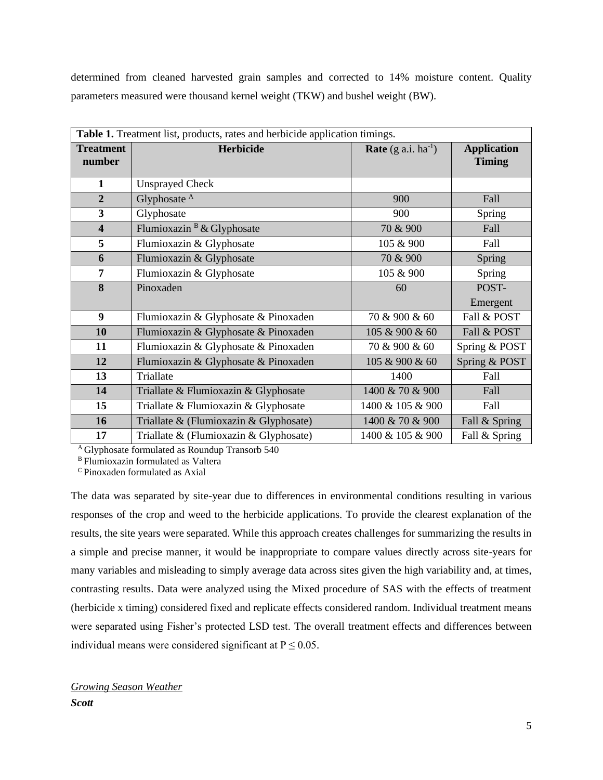determined from cleaned harvested grain samples and corrected to 14% moisture content. Quality parameters measured were thousand kernel weight (TKW) and bushel weight (BW).

| Table 1. Treatment list, products, rates and herbicide application timings. |                                        |                                        |                                     |  |  |
|-----------------------------------------------------------------------------|----------------------------------------|----------------------------------------|-------------------------------------|--|--|
| <b>Treatment</b><br>number                                                  | Herbicide                              | <b>Rate</b> $(g \text{ a.i.} ha^{-1})$ | <b>Application</b><br><b>Timing</b> |  |  |
| 1                                                                           | <b>Unsprayed Check</b>                 |                                        |                                     |  |  |
| $\overline{2}$                                                              | Glyphosate <sup>A</sup>                | 900                                    | Fall                                |  |  |
| $\overline{\mathbf{3}}$                                                     | Glyphosate                             | 900                                    | Spring                              |  |  |
| $\overline{\mathbf{4}}$                                                     | Flumioxazin $B \&$ Glyphosate          | 70 & 900                               | Fall                                |  |  |
| 5                                                                           | Flumioxazin & Glyphosate               | 105 & 900                              | Fall                                |  |  |
| 6                                                                           | Flumioxazin & Glyphosate               | 70 & 900                               | Spring                              |  |  |
| 7                                                                           | Flumioxazin & Glyphosate               | 105 & 900                              | Spring                              |  |  |
| 8                                                                           | Pinoxaden                              | 60                                     | POST-                               |  |  |
|                                                                             |                                        |                                        | Emergent                            |  |  |
| 9                                                                           | Flumioxazin & Glyphosate & Pinoxaden   | 70 & 900 & 60                          | Fall & POST                         |  |  |
| 10                                                                          | Flumioxazin & Glyphosate & Pinoxaden   | 105 & 900 & 60                         | Fall & POST                         |  |  |
| 11                                                                          | Flumioxazin & Glyphosate & Pinoxaden   | 70 & 900 & 60                          | Spring & POST                       |  |  |
| 12                                                                          | Flumioxazin & Glyphosate & Pinoxaden   | 105 & 900 & 60                         | Spring & POST                       |  |  |
| 13                                                                          | Triallate                              | 1400                                   | Fall                                |  |  |
| 14                                                                          | Triallate & Flumioxazin & Glyphosate   | 1400 & 70 & 900                        | Fall                                |  |  |
| 15                                                                          | Triallate & Flumioxazin & Glyphosate   | 1400 & 105 & 900                       | Fall                                |  |  |
| 16                                                                          | Triallate & (Flumioxazin & Glyphosate) | 1400 & 70 & 900                        | Fall & Spring                       |  |  |
| 17                                                                          | Triallate & (Flumioxazin & Glyphosate) | 1400 & 105 & 900                       | Fall & Spring                       |  |  |

<sup>A</sup> Glyphosate formulated as Roundup Transorb 540

<sup>B</sup> Flumioxazin formulated as Valtera

<sup>C</sup> Pinoxaden formulated as Axial

The data was separated by site-year due to differences in environmental conditions resulting in various responses of the crop and weed to the herbicide applications. To provide the clearest explanation of the results, the site years were separated. While this approach creates challenges for summarizing the results in a simple and precise manner, it would be inappropriate to compare values directly across site-years for many variables and misleading to simply average data across sites given the high variability and, at times, contrasting results. Data were analyzed using the Mixed procedure of SAS with the effects of treatment (herbicide x timing) considered fixed and replicate effects considered random. Individual treatment means were separated using Fisher's protected LSD test. The overall treatment effects and differences between individual means were considered significant at  $P \le 0.05$ .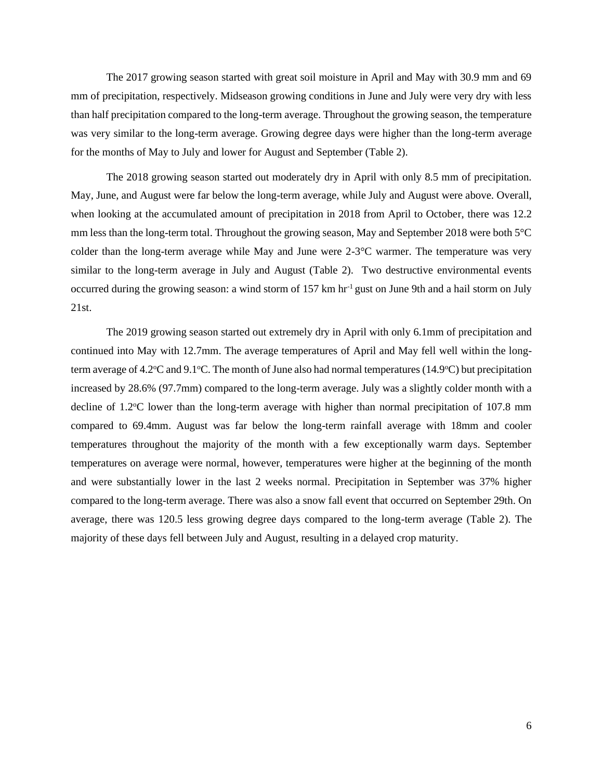The 2017 growing season started with great soil moisture in April and May with 30.9 mm and 69 mm of precipitation, respectively. Midseason growing conditions in June and July were very dry with less than half precipitation compared to the long-term average. Throughout the growing season, the temperature was very similar to the long-term average. Growing degree days were higher than the long-term average for the months of May to July and lower for August and September (Table 2).

The 2018 growing season started out moderately dry in April with only 8.5 mm of precipitation. May, June, and August were far below the long-term average, while July and August were above. Overall, when looking at the accumulated amount of precipitation in 2018 from April to October, there was 12.2 mm less than the long-term total. Throughout the growing season, May and September 2018 were both 5°C colder than the long-term average while May and June were 2-3°C warmer. The temperature was very similar to the long-term average in July and August (Table 2). Two destructive environmental events occurred during the growing season: a wind storm of  $157 \text{ km hr}^{-1}$  gust on June 9th and a hail storm on July 21st.

The 2019 growing season started out extremely dry in April with only 6.1mm of precipitation and continued into May with 12.7mm. The average temperatures of April and May fell well within the longterm average of 4.2 $\degree$ C and 9.1 $\degree$ C. The month of June also had normal temperatures (14.9 $\degree$ C) but precipitation increased by 28.6% (97.7mm) compared to the long-term average. July was a slightly colder month with a decline of  $1.2^{\circ}$ C lower than the long-term average with higher than normal precipitation of 107.8 mm compared to 69.4mm. August was far below the long-term rainfall average with 18mm and cooler temperatures throughout the majority of the month with a few exceptionally warm days. September temperatures on average were normal, however, temperatures were higher at the beginning of the month and were substantially lower in the last 2 weeks normal. Precipitation in September was 37% higher compared to the long-term average. There was also a snow fall event that occurred on September 29th. On average, there was 120.5 less growing degree days compared to the long-term average (Table 2). The majority of these days fell between July and August, resulting in a delayed crop maturity.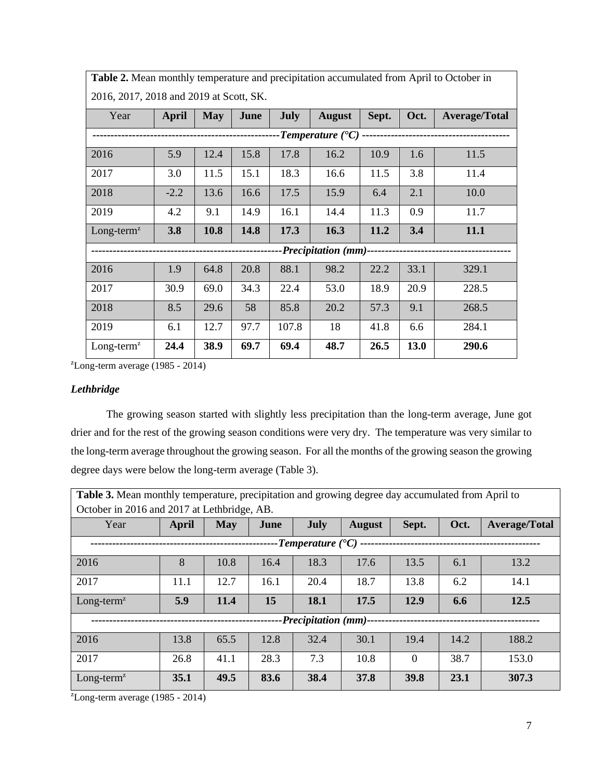**Table 2.** Mean monthly temperature and precipitation accumulated from April to October in 2016, 2017, 2018 and 2019 at Scott, SK.

| Year         | April  | <b>May</b> | June | <b>July</b> | <b>August</b>                                  | Sept. | Oct. | <b>Average/Total</b> |
|--------------|--------|------------|------|-------------|------------------------------------------------|-------|------|----------------------|
|              |        |            |      |             | -Temperature $(°C)$ -------------------------- |       |      |                      |
| 2016         | 5.9    | 12.4       | 15.8 | 17.8        | 16.2                                           | 10.9  | 1.6  | 11.5                 |
| 2017         | 3.0    | 11.5       | 15.1 | 18.3        | 16.6                                           | 11.5  | 3.8  | 11.4                 |
| 2018         | $-2.2$ | 13.6       | 16.6 | 17.5        | 15.9                                           | 6.4   | 2.1  | 10.0                 |
| 2019         | 4.2    | 9.1        | 14.9 | 16.1        | 14.4                                           | 11.3  | 0.9  | 11.7                 |
| $Long-termz$ | 3.8    | 10.8       | 14.8 | 17.3        | 16.3                                           | 11.2  | 3.4  | 11.1                 |
|              |        |            |      |             | - <i>Precipitation (mm)</i> --                 |       |      |                      |
| 2016         | 1.9    | 64.8       | 20.8 | 88.1        | 98.2                                           | 22.2  | 33.1 | 329.1                |
| 2017         | 30.9   | 69.0       | 34.3 | 22.4        | 53.0                                           | 18.9  | 20.9 | 228.5                |
| 2018         | 8.5    | 29.6       | 58   | 85.8        | 20.2                                           | 57.3  | 9.1  | 268.5                |
| 2019         | 6.1    | 12.7       | 97.7 | 107.8       | 18                                             | 41.8  | 6.6  | 284.1                |
| $Long-termz$ | 24.4   | 38.9       | 69.7 | 69.4        | 48.7                                           | 26.5  | 13.0 | 290.6                |

 $\text{z}$ Long-term average (1985 - 2014)

## *Lethbridge*

The growing season started with slightly less precipitation than the long-term average, June got drier and for the rest of the growing season conditions were very dry. The temperature was very similar to the long-term average throughout the growing season. For all the months of the growing season the growing degree days were below the long-term average (Table 3).

| <b>Table 3.</b> Mean monthly temperature, precipitation and growing degree day accumulated from April to |                                     |            |      |      |               |          |      |                      |
|----------------------------------------------------------------------------------------------------------|-------------------------------------|------------|------|------|---------------|----------|------|----------------------|
| October in 2016 and 2017 at Lethbridge, AB.                                                              |                                     |            |      |      |               |          |      |                      |
| Year                                                                                                     | <b>April</b>                        | <b>May</b> | June | July | <b>August</b> | Sept.    | Oct. | <b>Average/Total</b> |
|                                                                                                          | - Temperature $($ <sup>o</sup> C) - |            |      |      |               |          |      |                      |
| 2016                                                                                                     | 8                                   | 10.8       | 16.4 | 18.3 | 17.6          | 13.5     | 6.1  | 13.2                 |
| 2017                                                                                                     | 11.1                                | 12.7       | 16.1 | 20.4 | 18.7          | 13.8     | 6.2  | 14.1                 |
| $Long-termz$                                                                                             | 5.9                                 | 11.4       | 15   | 18.1 | 17.5          | 12.9     | 6.6  | 12.5                 |
| -Precipitation (mm)--                                                                                    |                                     |            |      |      |               |          |      |                      |
| 2016                                                                                                     | 13.8                                | 65.5       | 12.8 | 32.4 | 30.1          | 19.4     | 14.2 | 188.2                |
| 2017                                                                                                     | 26.8                                | 41.1       | 28.3 | 7.3  | 10.8          | $\theta$ | 38.7 | 153.0                |
| $Long-termz$                                                                                             | 35.1                                | 49.5       | 83.6 | 38.4 | 37.8          | 39.8     | 23.1 | 307.3                |

 $\textsuperscript{2}$ Long-term average (1985 - 2014)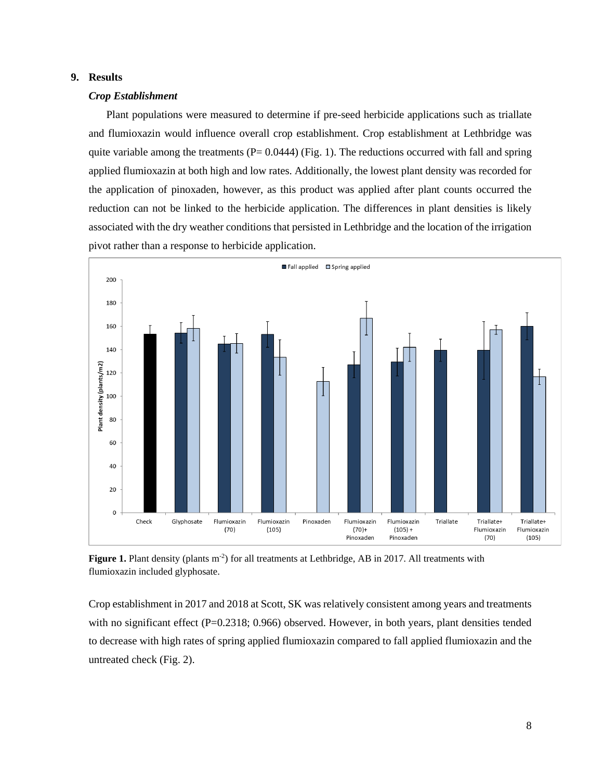## **9. Results**

#### *Crop Establishment*

Plant populations were measured to determine if pre-seed herbicide applications such as triallate and flumioxazin would influence overall crop establishment. Crop establishment at Lethbridge was quite variable among the treatments  $(P= 0.0444)$  (Fig. 1). The reductions occurred with fall and spring applied flumioxazin at both high and low rates. Additionally, the lowest plant density was recorded for the application of pinoxaden, however, as this product was applied after plant counts occurred the reduction can not be linked to the herbicide application. The differences in plant densities is likely associated with the dry weather conditions that persisted in Lethbridge and the location of the irrigation pivot rather than a response to herbicide application.



Figure 1. Plant density (plants m<sup>-2</sup>) for all treatments at Lethbridge, AB in 2017. All treatments with flumioxazin included glyphosate.

Crop establishment in 2017 and 2018 at Scott, SK was relatively consistent among years and treatments with no significant effect (P=0.2318; 0.966) observed. However, in both years, plant densities tended to decrease with high rates of spring applied flumioxazin compared to fall applied flumioxazin and the untreated check (Fig. 2).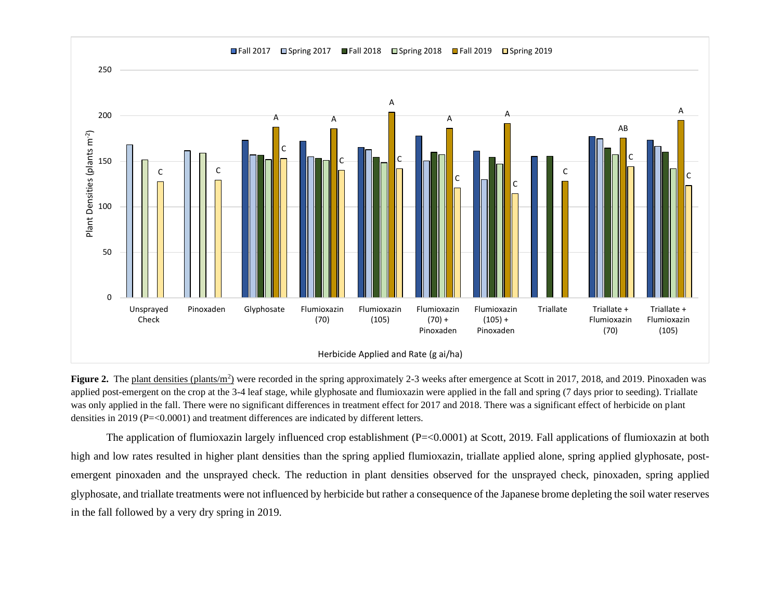

Figure 2. The plant densities (plants/m<sup>2</sup>) were recorded in the spring approximately 2-3 weeks after emergence at Scott in 2017, 2018, and 2019. Pinoxaden was applied post-emergent on the crop at the 3-4 leaf stage, while glyphosate and flumioxazin were applied in the fall and spring (7 days prior to seeding). Triallate was only applied in the fall. There were no significant differences in treatment effect for 2017 and 2018. There was a significant effect of herbicide on plant densities in 2019 (P=<0.0001) and treatment differences are indicated by different letters.

The application of flumioxazin largely influenced crop establishment (P=<0.0001) at Scott, 2019. Fall applications of flumioxazin at both high and low rates resulted in higher plant densities than the spring applied flumioxazin, triallate applied alone, spring applied glyphosate, postemergent pinoxaden and the unsprayed check. The reduction in plant densities observed for the unsprayed check, pinoxaden, spring applied glyphosate, and triallate treatments were not influenced by herbicide but rather a consequence of the Japanese brome depleting the soil water reserves in the fall followed by a very dry spring in 2019.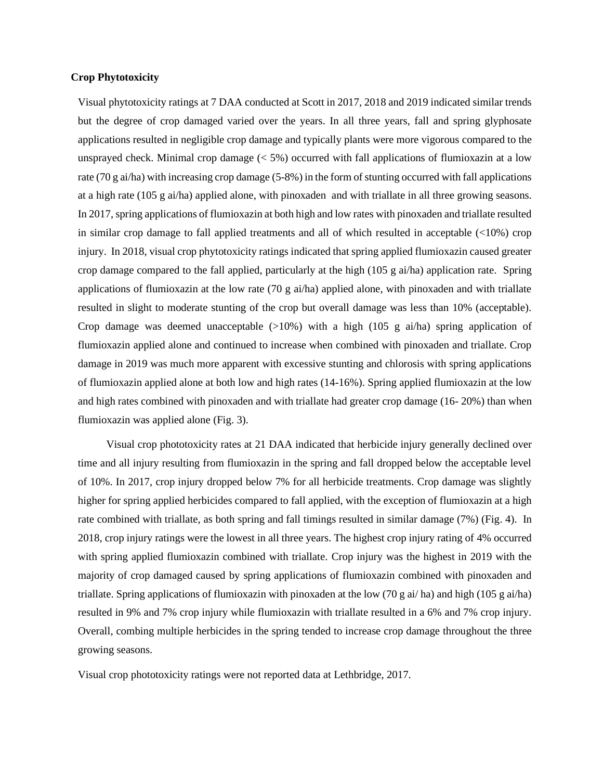#### **Crop Phytotoxicity**

Visual phytotoxicity ratings at 7 DAA conducted at Scott in 2017, 2018 and 2019 indicated similar trends but the degree of crop damaged varied over the years. In all three years, fall and spring glyphosate applications resulted in negligible crop damage and typically plants were more vigorous compared to the unsprayed check. Minimal crop damage  $(< 5\%)$  occurred with fall applications of flumioxazin at a low rate (70 g ai/ha) with increasing crop damage (5-8%) in the form of stunting occurred with fall applications at a high rate (105 g ai/ha) applied alone, with pinoxaden and with triallate in all three growing seasons. In 2017, spring applications of flumioxazin at both high and low rates with pinoxaden and triallate resulted in similar crop damage to fall applied treatments and all of which resulted in acceptable  $\left($ <10%) crop injury. In 2018, visual crop phytotoxicity ratings indicated that spring applied flumioxazin caused greater crop damage compared to the fall applied, particularly at the high (105 g ai/ha) application rate. Spring applications of flumioxazin at the low rate  $(70 \text{ g a/ha})$  applied alone, with pinoxaden and with triallate resulted in slight to moderate stunting of the crop but overall damage was less than 10% (acceptable). Crop damage was deemed unacceptable  $(>10%)$  with a high (105 g ai/ha) spring application of flumioxazin applied alone and continued to increase when combined with pinoxaden and triallate. Crop damage in 2019 was much more apparent with excessive stunting and chlorosis with spring applications of flumioxazin applied alone at both low and high rates (14-16%). Spring applied flumioxazin at the low and high rates combined with pinoxaden and with triallate had greater crop damage (16- 20%) than when flumioxazin was applied alone (Fig. 3).

Visual crop phototoxicity rates at 21 DAA indicated that herbicide injury generally declined over time and all injury resulting from flumioxazin in the spring and fall dropped below the acceptable level of 10%. In 2017, crop injury dropped below 7% for all herbicide treatments. Crop damage was slightly higher for spring applied herbicides compared to fall applied, with the exception of flumioxazin at a high rate combined with triallate, as both spring and fall timings resulted in similar damage (7%) (Fig. 4). In 2018, crop injury ratings were the lowest in all three years. The highest crop injury rating of 4% occurred with spring applied flumioxazin combined with triallate. Crop injury was the highest in 2019 with the majority of crop damaged caused by spring applications of flumioxazin combined with pinoxaden and triallate. Spring applications of flumioxazin with pinoxaden at the low (70 g ai/ ha) and high (105 g ai/ha) resulted in 9% and 7% crop injury while flumioxazin with triallate resulted in a 6% and 7% crop injury. Overall, combing multiple herbicides in the spring tended to increase crop damage throughout the three growing seasons.

Visual crop phototoxicity ratings were not reported data at Lethbridge, 2017.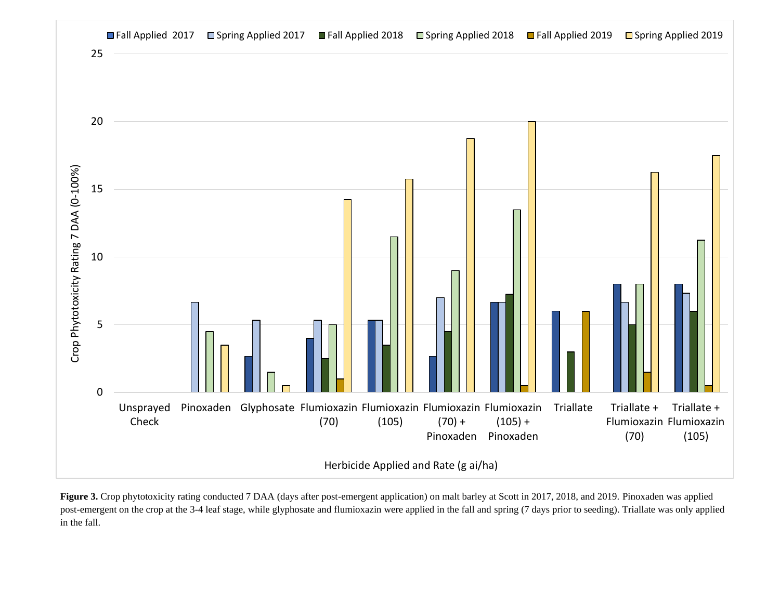

Figure 3. Crop phytotoxicity rating conducted 7 DAA (days after post-emergent application) on malt barley at Scott in 2017, 2018, and 2019. Pinoxaden was applied post-emergent on the crop at the 3-4 leaf stage, while glyphosate and flumioxazin were applied in the fall and spring (7 days prior to seeding). Triallate was only applied in the fall.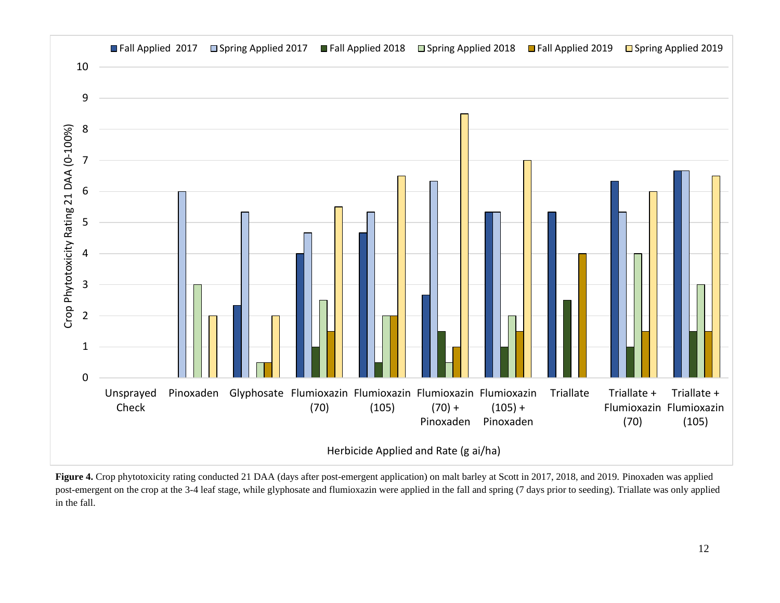

Figure 4. Crop phytotoxicity rating conducted 21 DAA (days after post-emergent application) on malt barley at Scott in 2017, 2018, and 2019. Pinoxaden was applied post-emergent on the crop at the 3-4 leaf stage, while glyphosate and flumioxazin were applied in the fall and spring (7 days prior to seeding). Triallate was only applied in the fall.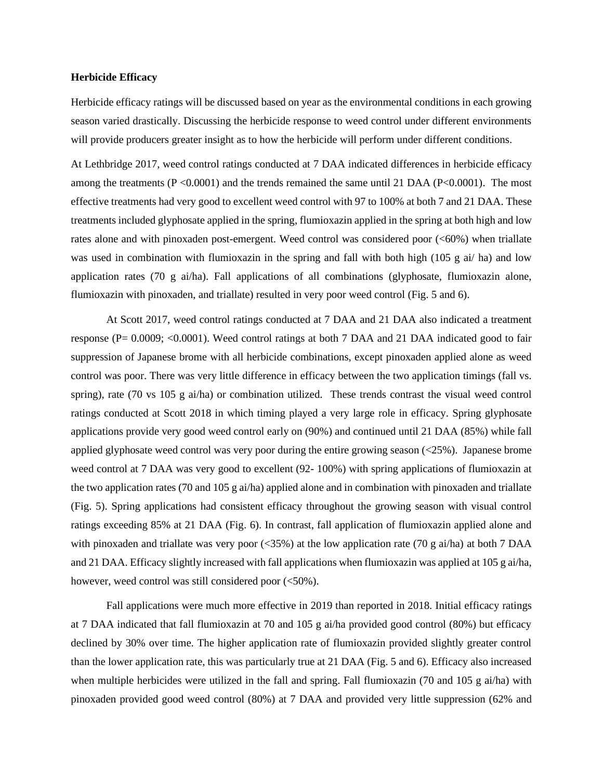#### **Herbicide Efficacy**

Herbicide efficacy ratings will be discussed based on year as the environmental conditions in each growing season varied drastically. Discussing the herbicide response to weed control under different environments will provide producers greater insight as to how the herbicide will perform under different conditions.

At Lethbridge 2017, weed control ratings conducted at 7 DAA indicated differences in herbicide efficacy among the treatments  $(P \le 0.0001)$  and the trends remained the same until 21 DAA  $(P \le 0.0001)$ . The most effective treatments had very good to excellent weed control with 97 to 100% at both 7 and 21 DAA. These treatments included glyphosate applied in the spring, flumioxazin applied in the spring at both high and low rates alone and with pinoxaden post-emergent. Weed control was considered poor (<60%) when triallate was used in combination with flumioxazin in the spring and fall with both high (105 g ai/ ha) and low application rates (70 g ai/ha). Fall applications of all combinations (glyphosate, flumioxazin alone, flumioxazin with pinoxaden, and triallate) resulted in very poor weed control (Fig. 5 and 6).

At Scott 2017, weed control ratings conducted at 7 DAA and 21 DAA also indicated a treatment response (P= 0.0009; <0.0001). Weed control ratings at both 7 DAA and 21 DAA indicated good to fair suppression of Japanese brome with all herbicide combinations, except pinoxaden applied alone as weed control was poor. There was very little difference in efficacy between the two application timings (fall vs. spring), rate (70 vs 105 g ai/ha) or combination utilized. These trends contrast the visual weed control ratings conducted at Scott 2018 in which timing played a very large role in efficacy. Spring glyphosate applications provide very good weed control early on (90%) and continued until 21 DAA (85%) while fall applied glyphosate weed control was very poor during the entire growing season (<25%). Japanese brome weed control at 7 DAA was very good to excellent (92- 100%) with spring applications of flumioxazin at the two application rates (70 and 105 g ai/ha) applied alone and in combination with pinoxaden and triallate (Fig. 5). Spring applications had consistent efficacy throughout the growing season with visual control ratings exceeding 85% at 21 DAA (Fig. 6). In contrast, fall application of flumioxazin applied alone and with pinoxaden and triallate was very poor ( $\langle$ 35%) at the low application rate (70 g ai/ha) at both 7 DAA and 21 DAA. Efficacy slightly increased with fall applications when flumioxazin was applied at 105 g ai/ha, however, weed control was still considered poor  $\left( \langle 50\% \rangle \right)$ .

Fall applications were much more effective in 2019 than reported in 2018. Initial efficacy ratings at 7 DAA indicated that fall flumioxazin at 70 and 105 g ai/ha provided good control (80%) but efficacy declined by 30% over time. The higher application rate of flumioxazin provided slightly greater control than the lower application rate, this was particularly true at 21 DAA (Fig. 5 and 6). Efficacy also increased when multiple herbicides were utilized in the fall and spring. Fall flumioxazin (70 and 105 g ai/ha) with pinoxaden provided good weed control (80%) at 7 DAA and provided very little suppression (62% and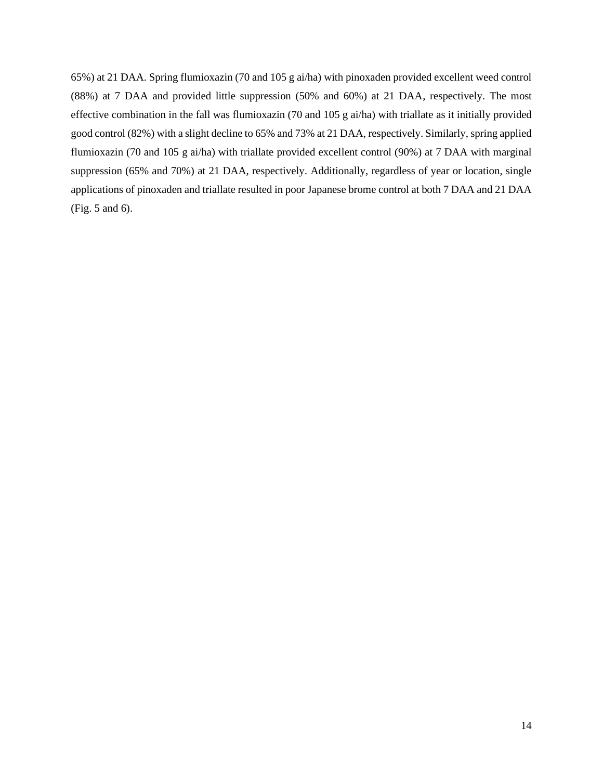65%) at 21 DAA. Spring flumioxazin (70 and 105 g ai/ha) with pinoxaden provided excellent weed control (88%) at 7 DAA and provided little suppression (50% and 60%) at 21 DAA, respectively. The most effective combination in the fall was flumioxazin (70 and 105 g ai/ha) with triallate as it initially provided good control (82%) with a slight decline to 65% and 73% at 21 DAA, respectively. Similarly, spring applied flumioxazin (70 and 105 g ai/ha) with triallate provided excellent control (90%) at 7 DAA with marginal suppression (65% and 70%) at 21 DAA, respectively. Additionally, regardless of year or location, single applications of pinoxaden and triallate resulted in poor Japanese brome control at both 7 DAA and 21 DAA (Fig. 5 and 6).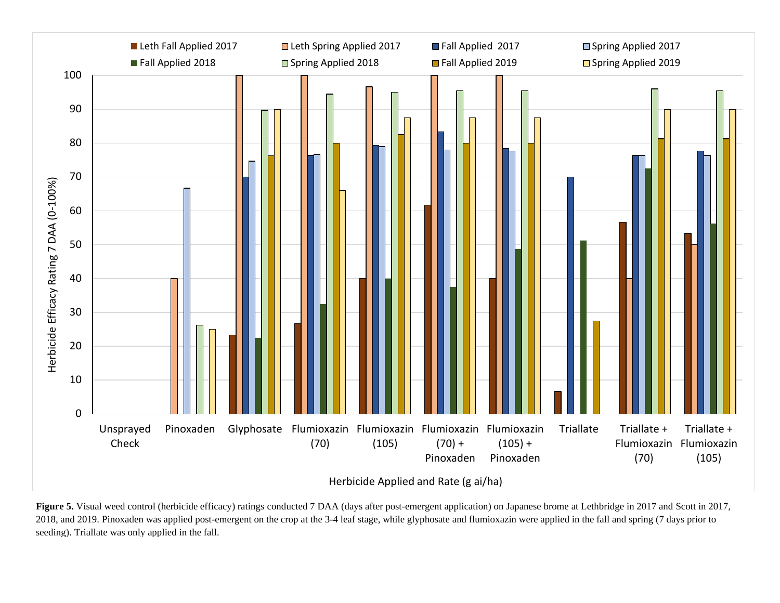

Figure 5. Visual weed control (herbicide efficacy) ratings conducted 7 DAA (days after post-emergent application) on Japanese brome at Lethbridge in 2017 and Scott in 2017, 2018, and 2019. Pinoxaden was applied post-emergent on the crop at the 3-4 leaf stage, while glyphosate and flumioxazin were applied in the fall and spring (7 days prior to seeding). Triallate was only applied in the fall.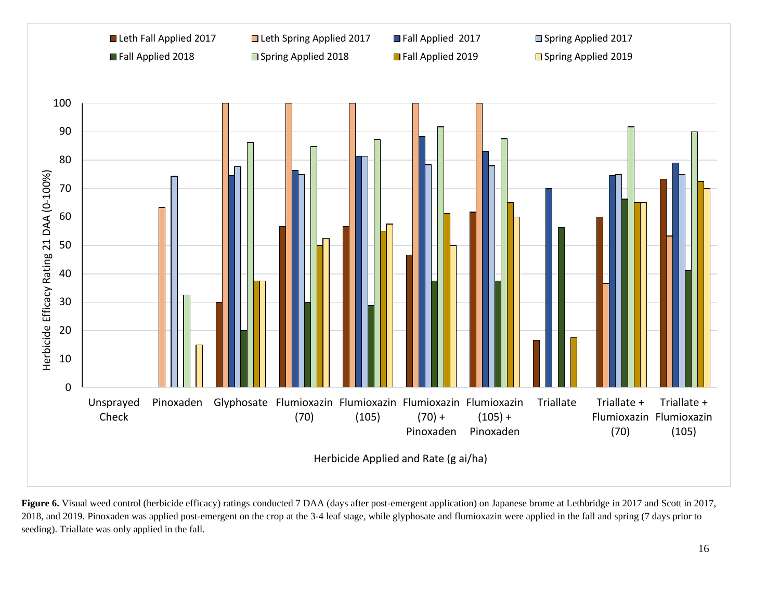

Figure 6. Visual weed control (herbicide efficacy) ratings conducted 7 DAA (days after post-emergent application) on Japanese brome at Lethbridge in 2017 and Scott in 2017, 2018, and 2019. Pinoxaden was applied post-emergent on the crop at the 3-4 leaf stage, while glyphosate and flumioxazin were applied in the fall and spring (7 days prior to seeding). Triallate was only applied in the fall.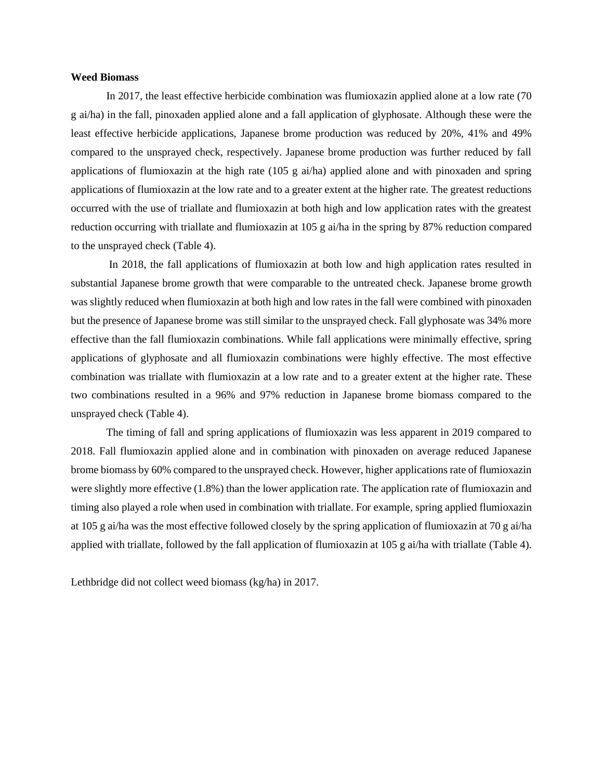#### **Weed Biomass**

In 2017, the least effective herbicide combination was flumioxazin applied alone at a low rate (70 g ai/ha) in the fall, pinoxaden applied alone and a fall application of glyphosate. Although these were the least effective herbicide applications, Japanese brome production was reduced by 20%, 41% and 49% compared to the unsprayed check, respectively. Japanese brome production was further reduced by fall applications of flumioxazin at the high rate (105 g ai/ha) applied alone and with pinoxaden and spring applications of flumioxazin at the low rate and to a greater extent at the higher rate. The greatest reductions occurred with the use of triallate and flumioxazin at both high and low application rates with the greatest reduction occurring with triallate and flumioxazin at 105 g ai/ha in the spring by 87% reduction compared to the unsprayed check (Table 4).

In 2018, the fall applications of flumioxazin at both low and high application rates resulted in substantial Japanese brome growth that were comparable to the untreated check. Japanese brome growth was slightly reduced when flumioxazin at both high and low rates in the fall were combined with pinoxaden but the presence of Japanese brome was still similar to the unsprayed check. Fall glyphosate was 34% more effective than the fall flumioxazin combinations. While fall applications were minimally effective, spring applications of glyphosate and all flumioxazin combinations were highly effective. The most effective combination was triallate with flumioxazin at a low rate and to a greater extent at the higher rate. These two combinations resulted in a 96% and 97% reduction in Japanese brome biomass compared to the unsprayed check (Table 4).

The timing of fall and spring applications of flumioxazin was less apparent in 2019 compared to 2018. Fall flumioxazin applied alone and in combination with pinoxaden on average reduced Japanese brome biomass by 60% compared to the unsprayed check. However, higher applications rate of flumioxazin were slightly more effective (1.8%) than the lower application rate. The application rate of flumioxazin and timing also played a role when used in combination with triallate. For example, spring applied flumioxazin at 105 g ai/ha was the most effective followed closely by the spring application of flumioxazin at 70 g ai/ha applied with triallate, followed by the fall application of flumioxazin at 105 g ai/ha with triallate (Table 4).

Lethbridge did not collect weed biomass (kg/ha) in 2017.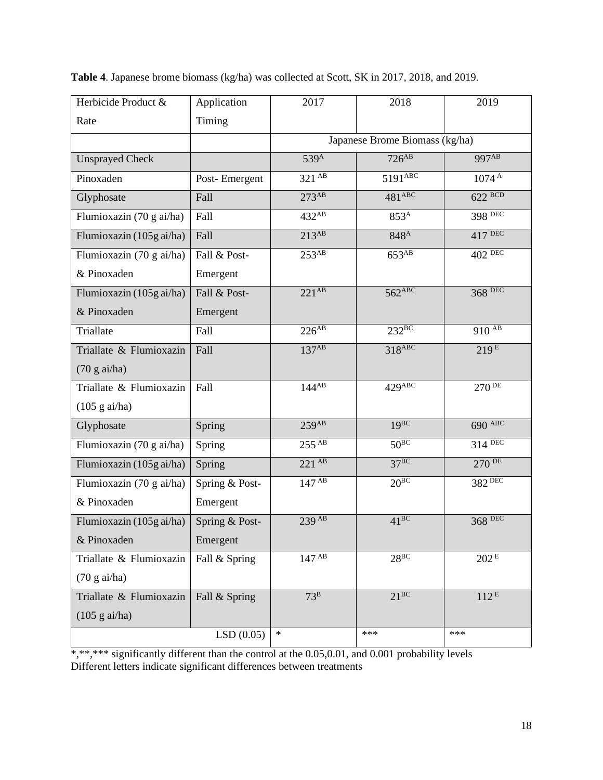| Herbicide Product &      | Application    | 2017                       | 2018                           | 2019                 |  |  |
|--------------------------|----------------|----------------------------|--------------------------------|----------------------|--|--|
| Rate                     | Timing         |                            |                                |                      |  |  |
|                          |                |                            | Japanese Brome Biomass (kg/ha) |                      |  |  |
| <b>Unsprayed Check</b>   |                | 539 <sup>A</sup>           | $726^{AB}$                     | 997 <sup>AB</sup>    |  |  |
| Pinoxaden                | Post-Emergent  | 321 AB                     | 5191ABC                        | 1074 <sup>A</sup>    |  |  |
| Glyphosate               | Fall           | $273^{AB}$                 | $481$ <sup>ABC</sup>           | $622$ <sup>BCD</sup> |  |  |
| Flumioxazin (70 g ai/ha) | Fall           | $432\overline{\text{AB}}$  | 853 <sup>A</sup>               | $398$ DEC            |  |  |
| Flumioxazin (105g ai/ha) | Fall           | $213^{AB}$                 | 848 <sup>A</sup>               | 417 DEC              |  |  |
| Flumioxazin (70 g ai/ha) | Fall & Post-   | $253^{AB}$                 | 653AB                          | 402 DEC              |  |  |
| & Pinoxaden              | Emergent       |                            |                                |                      |  |  |
| Flumioxazin (105g ai/ha) | Fall & Post-   | $221^{AB}$                 | 562ABC                         | 368 DEC              |  |  |
| & Pinoxaden              | Emergent       |                            |                                |                      |  |  |
| Triallate                | Fall           | $226\overline{AB}$         | $232^{\text{BC}}$              | $910^{AB}$           |  |  |
| Triallate & Flumioxazin  | Fall           | $137^{AB}$                 | 318ABC                         | $219^{\text{E}}$     |  |  |
| $(70 \text{ g ai/ha})$   |                |                            |                                |                      |  |  |
| Triallate & Flumioxazin  | Fall           | $144^{AB}$                 | $429$ <sup>ABC</sup>           | $270^{DE}$           |  |  |
| $(105 \text{ g ai/ha})$  |                |                            |                                |                      |  |  |
| Glyphosate               | Spring         | $259^{AB}$                 | $19^{BC}$                      | 690 ABC              |  |  |
| Flumioxazin (70 g ai/ha) | Spring         | $255^{AB}$                 | $50^{BC}$                      | 314 DEC              |  |  |
| Flumioxazin (105g ai/ha) | Spring         | $221^{AB}$                 | $37^{BC}$                      | $270^{DE}$           |  |  |
| Flumioxazin (70 g ai/ha) | Spring & Post- | $147^{AB}$                 | $20^{BC}$                      | $382$ DEC            |  |  |
| & Pinoxaden              | Emergent       |                            |                                |                      |  |  |
| Flumioxazin (105g ai/ha) | Spring & Post- | $239^{AB}$                 | $41^{BC}$                      | 368 DEC              |  |  |
| & Pinoxaden              | Emergent       |                            |                                |                      |  |  |
| Triallate & Flumioxazin  | Fall & Spring  | $147 \overline{\text{AB}}$ | $28^{BC}$                      | $202\,^{\rm E}$      |  |  |
| $(70 \text{ g ai/ha})$   |                |                            |                                |                      |  |  |
| Triallate & Flumioxazin  | Fall & Spring  | $73^{\rm B}$               | $21^{BC}$                      | 112 <sup>E</sup>     |  |  |
| $(105 \text{ g ai/ha})$  |                |                            |                                |                      |  |  |
|                          | LSD(0.05)      | $\ast$                     | ***                            | ***                  |  |  |

**Table 4**. Japanese brome biomass (kg/ha) was collected at Scott, SK in 2017, 2018, and 2019.

\*,\*\*,\*\*\* significantly different than the control at the 0.05,0.01, and 0.001 probability levels Different letters indicate significant differences between treatments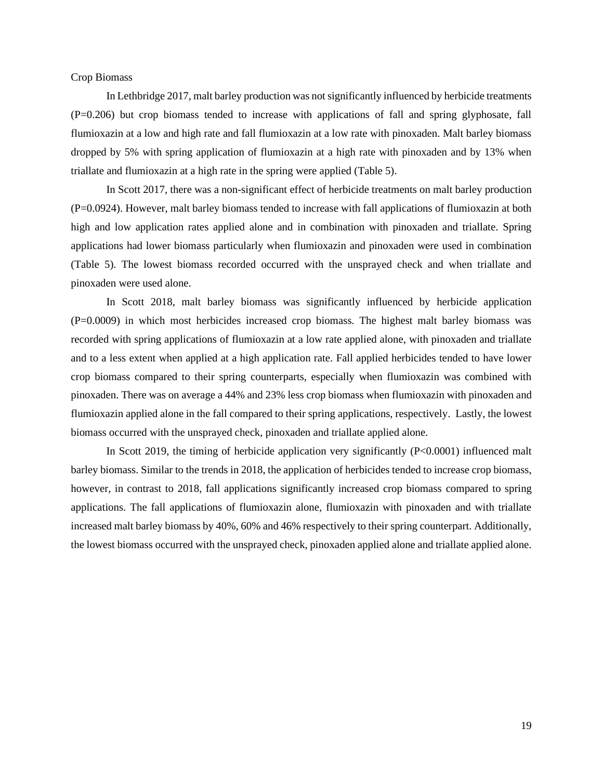Crop Biomass

In Lethbridge 2017, malt barley production was not significantly influenced by herbicide treatments (P=0.206) but crop biomass tended to increase with applications of fall and spring glyphosate, fall flumioxazin at a low and high rate and fall flumioxazin at a low rate with pinoxaden. Malt barley biomass dropped by 5% with spring application of flumioxazin at a high rate with pinoxaden and by 13% when triallate and flumioxazin at a high rate in the spring were applied (Table 5).

In Scott 2017, there was a non-significant effect of herbicide treatments on malt barley production (P=0.0924). However, malt barley biomass tended to increase with fall applications of flumioxazin at both high and low application rates applied alone and in combination with pinoxaden and triallate. Spring applications had lower biomass particularly when flumioxazin and pinoxaden were used in combination (Table 5). The lowest biomass recorded occurred with the unsprayed check and when triallate and pinoxaden were used alone.

In Scott 2018, malt barley biomass was significantly influenced by herbicide application (P=0.0009) in which most herbicides increased crop biomass. The highest malt barley biomass was recorded with spring applications of flumioxazin at a low rate applied alone, with pinoxaden and triallate and to a less extent when applied at a high application rate. Fall applied herbicides tended to have lower crop biomass compared to their spring counterparts, especially when flumioxazin was combined with pinoxaden. There was on average a 44% and 23% less crop biomass when flumioxazin with pinoxaden and flumioxazin applied alone in the fall compared to their spring applications, respectively. Lastly, the lowest biomass occurred with the unsprayed check, pinoxaden and triallate applied alone.

In Scott 2019, the timing of herbicide application very significantly  $(P<0.0001)$  influenced malt barley biomass. Similar to the trends in 2018, the application of herbicides tended to increase crop biomass, however, in contrast to 2018, fall applications significantly increased crop biomass compared to spring applications. The fall applications of flumioxazin alone, flumioxazin with pinoxaden and with triallate increased malt barley biomass by 40%, 60% and 46% respectively to their spring counterpart. Additionally, the lowest biomass occurred with the unsprayed check, pinoxaden applied alone and triallate applied alone.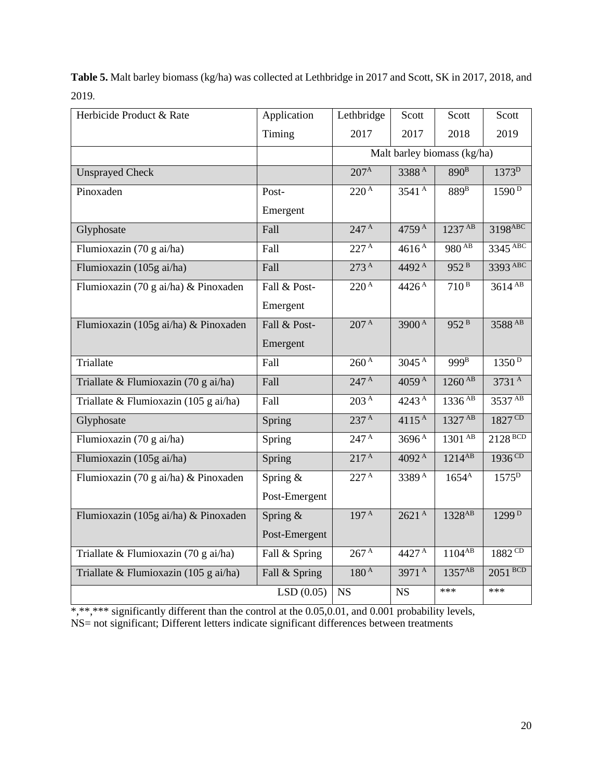| Herbicide Product & Rate              | Application   | Lethbridge           | Scott             | Scott                       | Scott                  |
|---------------------------------------|---------------|----------------------|-------------------|-----------------------------|------------------------|
|                                       | Timing        | 2017                 | 2017              | 2018                        | 2019                   |
|                                       |               |                      |                   | Malt barley biomass (kg/ha) |                        |
| <b>Unsprayed Check</b>                |               | 207 <sup>A</sup>     | 3388A             | 890 <sup>B</sup>            | $1373^D$               |
| Pinoxaden                             | Post-         | 220 <sup>A</sup>     | 3541A             | 889 <sup>B</sup>            | 1590 <sup>D</sup>      |
|                                       | Emergent      |                      |                   |                             |                        |
| Glyphosate                            | Fall          | 247 A                | 4759A             | 1237AB                      | 3198ABC                |
| Flumioxazin (70 g ai/ha)              | Fall          | 227 <sup>A</sup>     | 4616 <sup>A</sup> | $980^{AB}$                  | 3345 ABC               |
| Flumioxazin (105g ai/ha)              | Fall          | 273 <sup>A</sup>     | 4492A             | 952 <sup>B</sup>            | 3393 ABC               |
| Flumioxazin (70 g ai/ha) & Pinoxaden  | Fall & Post-  | $220^{\overline{A}}$ | 4426 <sup>A</sup> | 710 <sup>B</sup>            | $36\overline{14^{AB}}$ |
|                                       | Emergent      |                      |                   |                             |                        |
| Flumioxazin (105g ai/ha) & Pinoxaden  | Fall & Post-  | 207 <sup>A</sup>     | 3900 <sup>A</sup> | $952^{\,\rm B}$             | 3588 AB                |
|                                       | Emergent      |                      |                   |                             |                        |
| Triallate                             | Fall          | 260 <sup>A</sup>     | 3045 <sup>A</sup> | 999 <sup>B</sup>            | 1350 <sup>D</sup>      |
| Triallate & Flumioxazin (70 g ai/ha)  | Fall          | 247 A                | 4059A             | $1260$ <sup>AB</sup>        | 3731A                  |
| Triallate & Flumioxazin (105 g ai/ha) | Fall          | 203 <sup>A</sup>     | 4243A             | 1336 AB                     | 3537 AB                |
| Glyphosate                            | Spring        | 237 <sup>A</sup>     | 4115 <sup>A</sup> | 1327 AB                     | $1827^{\text{CD}}$     |
| Flumioxazin (70 g ai/ha)              | Spring        | 247 <sup>A</sup>     | 3696 <sup>A</sup> | 1301 AB                     | $2128^{BCD}$           |
| Flumioxazin (105g ai/ha)              | Spring        | 217 <sup>A</sup>     | 4092 <sup>A</sup> | $1214^{AB}$                 | $1936^{\text{CD}}$     |
| Flumioxazin (70 g ai/ha) & Pinoxaden  | Spring &      | 227 <sup>A</sup>     | 3389A             | $1654^A$                    | $1575^D$               |
|                                       | Post-Emergent |                      |                   |                             |                        |
| Flumioxazin (105g ai/ha) & Pinoxaden  | Spring $&$    | 197 <sup>A</sup>     | $2621^{A}$        | 1328 <sup>AB</sup>          | 1299 <sup>D</sup>      |
|                                       | Post-Emergent |                      |                   |                             |                        |
| Triallate & Flumioxazin (70 g ai/ha)  | Fall & Spring | 267 <sup>A</sup>     | 4427A             | $1104^{AB}$                 | $1882^{\text{CD}}$     |
| Triallate & Flumioxazin (105 g ai/ha) | Fall & Spring | 180 <sup>A</sup>     | 3971A             | $1357^{AB}$                 | $2051$ <sub>BCD</sub>  |
|                                       | LSD(0.05)     | <b>NS</b>            | $_{\rm NS}$       | ***                         | ***                    |

**Table 5.** Malt barley biomass (kg/ha) was collected at Lethbridge in 2017 and Scott, SK in 2017, 2018, and 2019.

 $*$ ,\*\*,\*\*\* significantly different than the control at the 0.05,0.01, and 0.001 probability levels, NS= not significant; Different letters indicate significant differences between treatments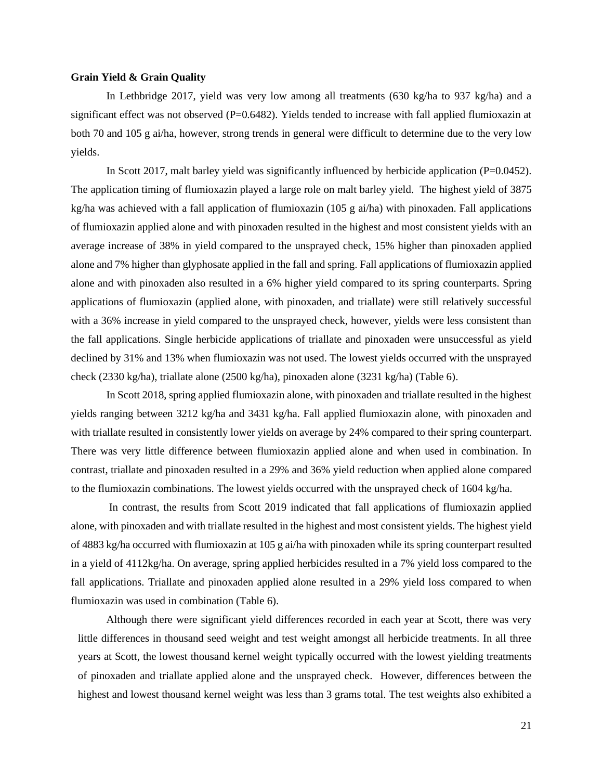#### **Grain Yield & Grain Quality**

In Lethbridge 2017, yield was very low among all treatments (630 kg/ha to 937 kg/ha) and a significant effect was not observed  $(P=0.6482)$ . Yields tended to increase with fall applied flumioxazin at both 70 and 105 g ai/ha, however, strong trends in general were difficult to determine due to the very low yields.

In Scott 2017, malt barley yield was significantly influenced by herbicide application  $(P=0.0452)$ . The application timing of flumioxazin played a large role on malt barley yield. The highest yield of 3875 kg/ha was achieved with a fall application of flumioxazin (105 g ai/ha) with pinoxaden. Fall applications of flumioxazin applied alone and with pinoxaden resulted in the highest and most consistent yields with an average increase of 38% in yield compared to the unsprayed check, 15% higher than pinoxaden applied alone and 7% higher than glyphosate applied in the fall and spring. Fall applications of flumioxazin applied alone and with pinoxaden also resulted in a 6% higher yield compared to its spring counterparts. Spring applications of flumioxazin (applied alone, with pinoxaden, and triallate) were still relatively successful with a 36% increase in yield compared to the unsprayed check, however, yields were less consistent than the fall applications. Single herbicide applications of triallate and pinoxaden were unsuccessful as yield declined by 31% and 13% when flumioxazin was not used. The lowest yields occurred with the unsprayed check (2330 kg/ha), triallate alone (2500 kg/ha), pinoxaden alone (3231 kg/ha) (Table 6).

In Scott 2018, spring applied flumioxazin alone, with pinoxaden and triallate resulted in the highest yields ranging between 3212 kg/ha and 3431 kg/ha. Fall applied flumioxazin alone, with pinoxaden and with triallate resulted in consistently lower yields on average by 24% compared to their spring counterpart. There was very little difference between flumioxazin applied alone and when used in combination. In contrast, triallate and pinoxaden resulted in a 29% and 36% yield reduction when applied alone compared to the flumioxazin combinations. The lowest yields occurred with the unsprayed check of 1604 kg/ha.

In contrast, the results from Scott 2019 indicated that fall applications of flumioxazin applied alone, with pinoxaden and with triallate resulted in the highest and most consistent yields. The highest yield of 4883 kg/ha occurred with flumioxazin at 105 g ai/ha with pinoxaden while its spring counterpart resulted in a yield of 4112kg/ha. On average, spring applied herbicides resulted in a 7% yield loss compared to the fall applications. Triallate and pinoxaden applied alone resulted in a 29% yield loss compared to when flumioxazin was used in combination (Table 6).

Although there were significant yield differences recorded in each year at Scott, there was very little differences in thousand seed weight and test weight amongst all herbicide treatments. In all three years at Scott, the lowest thousand kernel weight typically occurred with the lowest yielding treatments of pinoxaden and triallate applied alone and the unsprayed check. However, differences between the highest and lowest thousand kernel weight was less than 3 grams total. The test weights also exhibited a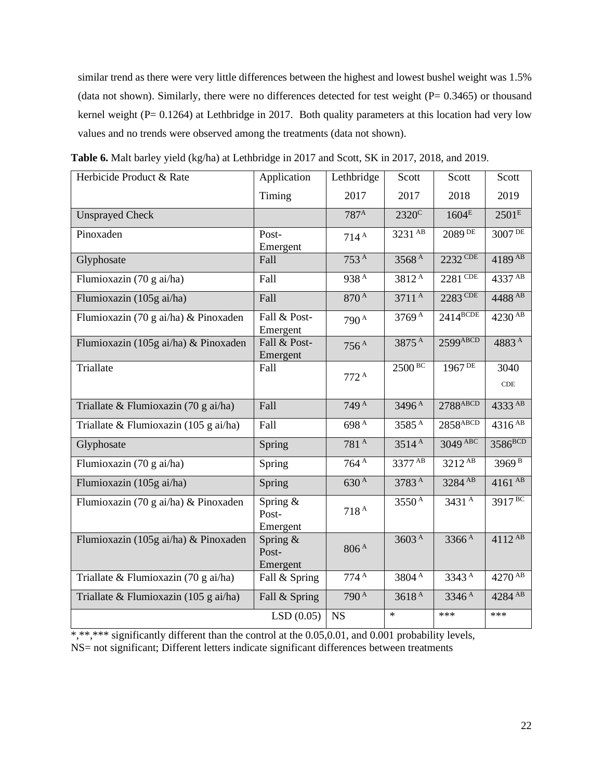similar trend as there were very little differences between the highest and lowest bushel weight was 1.5% (data not shown). Similarly, there were no differences detected for test weight ( $P= 0.3465$ ) or thousand kernel weight (P= 0.1264) at Lethbridge in 2017. Both quality parameters at this location had very low values and no trends were observed among the treatments (data not shown).

| Herbicide Product & Rate              | Application                      | Lethbridge       | Scott                | Scott                | Scott                |
|---------------------------------------|----------------------------------|------------------|----------------------|----------------------|----------------------|
|                                       | Timing                           | 2017             | 2017                 | 2018                 | 2019                 |
| <b>Unsprayed Check</b>                |                                  | 787 <sup>A</sup> | 2320 <sup>C</sup>    | 1604 <sup>E</sup>    | 2501 <sup>E</sup>    |
| Pinoxaden                             | Post-<br>Emergent                | 714 <sup>A</sup> | 3231 AB              | $2089$ <sub>DE</sub> | $3007$ <sup>DE</sup> |
| Glyphosate                            | Fall                             | 753 <sup>A</sup> | 3568A                | 2232 CDE             | 4189 AB              |
| Flumioxazin (70 g ai/ha)              | Fall                             | 938A             | 3812A                | 2281 CDE             | 4337 AB              |
| Flumioxazin (105g ai/ha)              | Fall                             | 870 <sup>A</sup> | 3711 <sup>A</sup>    | 2283 CDE             | $4488$ <sup>AB</sup> |
| Flumioxazin (70 g ai/ha) & Pinoxaden  | Fall & Post-<br>Emergent         | 790 <sup>A</sup> | 3769 <sup>A</sup>    | $2414^{BCDE}$        | $4230^{AB}$          |
| Flumioxazin (105g ai/ha) & Pinoxaden  | Fall & Post-<br>Emergent         | 756A             | 3875A                | 2599ABCD             | 4883A                |
| Triallate                             | Fall                             | 772 <sup>A</sup> | $2500$ <sup>BC</sup> | $1967\overline{DE}$  | 3040<br>CDE          |
| Triallate & Flumioxazin (70 g ai/ha)  | Fall                             | 749 <sup>A</sup> | 3496 <sup>A</sup>    | $2788$ ABCD          | 4333 AB              |
| Triallate & Flumioxazin (105 g ai/ha) | Fall                             | 698A             | 3585A                | 2858ABCD             | 4316 <sup>AB</sup>   |
| Glyphosate                            | Spring                           | 781 <sup>A</sup> | 3514 <sup>A</sup>    | 3049 ABC             | 3586 <sup>BCD</sup>  |
| Flumioxazin (70 g ai/ha)              | Spring                           | 764 <sup>A</sup> | 3377 AB              | 3212 <sup>AB</sup>   | $3969^{B}$           |
| Flumioxazin (105g ai/ha)              | Spring                           | 630 <sup>A</sup> | 3783A                | 3284 AB              | $4161^{AB}$          |
| Flumioxazin (70 g ai/ha) & Pinoxaden  | Spring $&$<br>Post-<br>Emergent  | 718A             | $3550^{\rm A}$       | 3431 <sup>A</sup>    | 3917 <sup>BC</sup>   |
| Flumioxazin (105g ai/ha) & Pinoxaden  | Spring $\&$<br>Post-<br>Emergent | 806 <sup>A</sup> | 3603A                | 3366A                | $4112^{AB}$          |
| Triallate & Flumioxazin (70 g ai/ha)  | Fall & Spring                    | 774 <sup>A</sup> | 3804 <sup>A</sup>    | 3343A                | $4270^{AB}$          |
| Triallate & Flumioxazin (105 g ai/ha) | Fall & Spring                    | 790 <sup>A</sup> | 3618 <sup>A</sup>    | 3346 <sup>A</sup>    | 4284 AB              |
|                                       | LSD(0.05)                        | <b>NS</b>        | $\ast$               | ***                  | ***                  |

**Table 6.** Malt barley yield (kg/ha) at Lethbridge in 2017 and Scott, SK in 2017, 2018, and 2019.

 $*,****$  significantly different than the control at the 0.05,0.01, and 0.001 probability levels, NS= not significant; Different letters indicate significant differences between treatments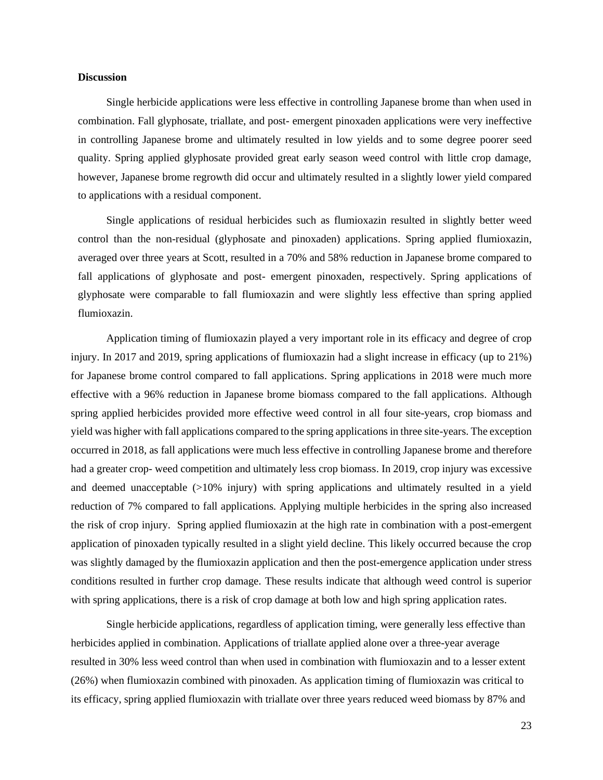#### **Discussion**

Single herbicide applications were less effective in controlling Japanese brome than when used in combination. Fall glyphosate, triallate, and post- emergent pinoxaden applications were very ineffective in controlling Japanese brome and ultimately resulted in low yields and to some degree poorer seed quality. Spring applied glyphosate provided great early season weed control with little crop damage, however, Japanese brome regrowth did occur and ultimately resulted in a slightly lower yield compared to applications with a residual component.

Single applications of residual herbicides such as flumioxazin resulted in slightly better weed control than the non-residual (glyphosate and pinoxaden) applications. Spring applied flumioxazin, averaged over three years at Scott, resulted in a 70% and 58% reduction in Japanese brome compared to fall applications of glyphosate and post- emergent pinoxaden, respectively. Spring applications of glyphosate were comparable to fall flumioxazin and were slightly less effective than spring applied flumioxazin.

Application timing of flumioxazin played a very important role in its efficacy and degree of crop injury. In 2017 and 2019, spring applications of flumioxazin had a slight increase in efficacy (up to 21%) for Japanese brome control compared to fall applications. Spring applications in 2018 were much more effective with a 96% reduction in Japanese brome biomass compared to the fall applications. Although spring applied herbicides provided more effective weed control in all four site-years, crop biomass and yield was higher with fall applications compared to the spring applications in three site-years. The exception occurred in 2018, as fall applications were much less effective in controlling Japanese brome and therefore had a greater crop- weed competition and ultimately less crop biomass. In 2019, crop injury was excessive and deemed unacceptable (>10% injury) with spring applications and ultimately resulted in a yield reduction of 7% compared to fall applications. Applying multiple herbicides in the spring also increased the risk of crop injury. Spring applied flumioxazin at the high rate in combination with a post-emergent application of pinoxaden typically resulted in a slight yield decline. This likely occurred because the crop was slightly damaged by the flumioxazin application and then the post-emergence application under stress conditions resulted in further crop damage. These results indicate that although weed control is superior with spring applications, there is a risk of crop damage at both low and high spring application rates.

Single herbicide applications, regardless of application timing, were generally less effective than herbicides applied in combination. Applications of triallate applied alone over a three-year average resulted in 30% less weed control than when used in combination with flumioxazin and to a lesser extent (26%) when flumioxazin combined with pinoxaden. As application timing of flumioxazin was critical to its efficacy, spring applied flumioxazin with triallate over three years reduced weed biomass by 87% and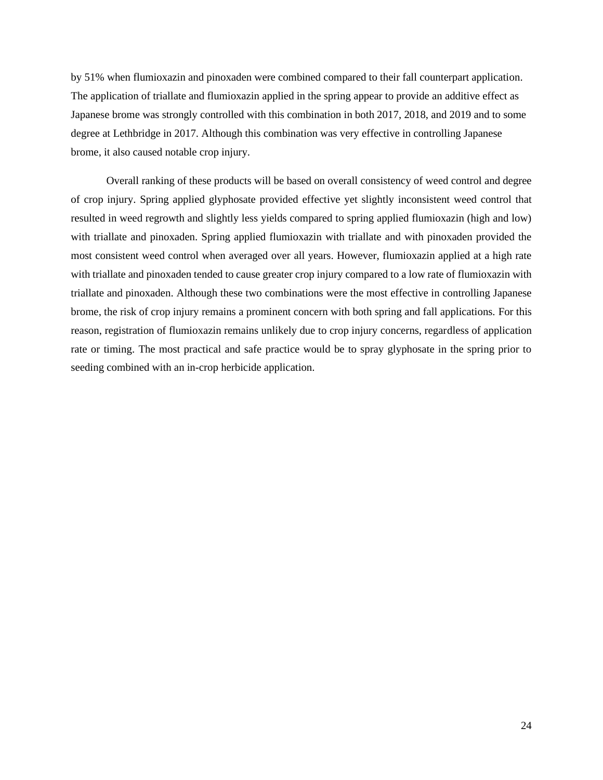by 51% when flumioxazin and pinoxaden were combined compared to their fall counterpart application. The application of triallate and flumioxazin applied in the spring appear to provide an additive effect as Japanese brome was strongly controlled with this combination in both 2017, 2018, and 2019 and to some degree at Lethbridge in 2017. Although this combination was very effective in controlling Japanese brome, it also caused notable crop injury.

Overall ranking of these products will be based on overall consistency of weed control and degree of crop injury. Spring applied glyphosate provided effective yet slightly inconsistent weed control that resulted in weed regrowth and slightly less yields compared to spring applied flumioxazin (high and low) with triallate and pinoxaden. Spring applied flumioxazin with triallate and with pinoxaden provided the most consistent weed control when averaged over all years. However, flumioxazin applied at a high rate with triallate and pinoxaden tended to cause greater crop injury compared to a low rate of flumioxazin with triallate and pinoxaden. Although these two combinations were the most effective in controlling Japanese brome, the risk of crop injury remains a prominent concern with both spring and fall applications. For this reason, registration of flumioxazin remains unlikely due to crop injury concerns, regardless of application rate or timing. The most practical and safe practice would be to spray glyphosate in the spring prior to seeding combined with an in-crop herbicide application.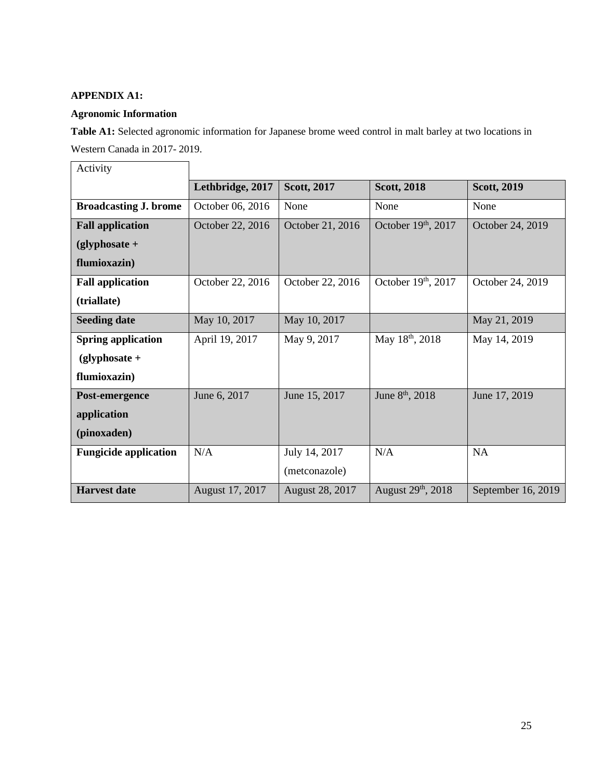## **APPENDIX A1:**

## **Agronomic Information**

**Table A1:** Selected agronomic information for Japanese brome weed control in malt barley at two locations in Western Canada in 2017- 2019.

| Activity                     |                  |                        |                                |                    |
|------------------------------|------------------|------------------------|--------------------------------|--------------------|
|                              | Lethbridge, 2017 | Scott, 2017            | <b>Scott, 2018</b>             | <b>Scott, 2019</b> |
| <b>Broadcasting J. brome</b> | October 06, 2016 | None                   | None                           | None               |
| <b>Fall application</b>      | October 22, 2016 | October 21, 2016       | October 19th, 2017             | October 24, 2019   |
| $(glyphosate +$              |                  |                        |                                |                    |
| flumioxazin)                 |                  |                        |                                |                    |
| <b>Fall application</b>      | October 22, 2016 | October 22, 2016       | October $19th$ , 2017          | October 24, 2019   |
| (triallate)                  |                  |                        |                                |                    |
| <b>Seeding date</b>          | May 10, 2017     | May 10, 2017           |                                | May 21, 2019       |
| <b>Spring application</b>    | April 19, 2017   | May 9, 2017            | May 18th, 2018                 | May 14, 2019       |
| $(glyphosate +$              |                  |                        |                                |                    |
| flumioxazin)                 |                  |                        |                                |                    |
| Post-emergence               | June 6, 2017     | June 15, 2017          | June 8 <sup>th</sup> , 2018    | June 17, 2019      |
| application                  |                  |                        |                                |                    |
| (pinoxaden)                  |                  |                        |                                |                    |
| <b>Fungicide application</b> | N/A              | July 14, 2017          | N/A                            | <b>NA</b>          |
|                              |                  | (metconazole)          |                                |                    |
| <b>Harvest</b> date          | August 17, 2017  | <b>August 28, 2017</b> | August 29 <sup>th</sup> , 2018 | September 16, 2019 |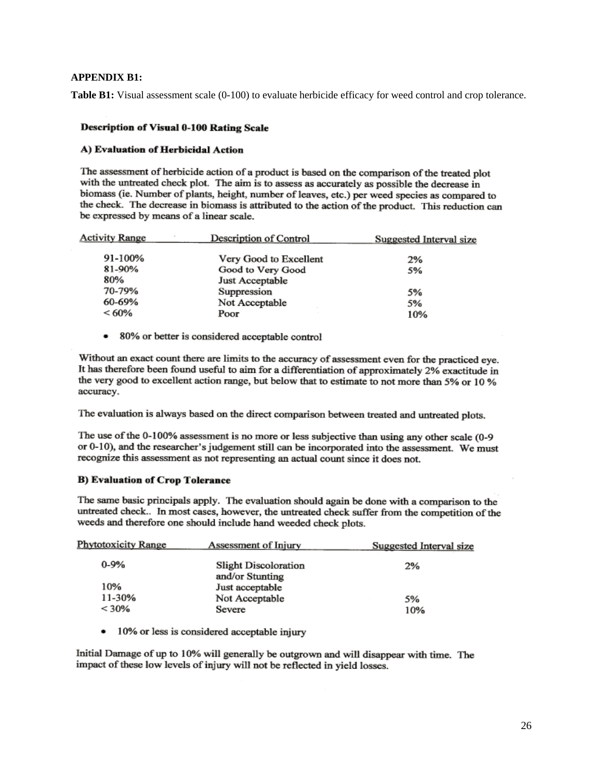## **APPENDIX B1:**

**Table B1:** Visual assessment scale (0-100) to evaluate herbicide efficacy for weed control and crop tolerance.

#### **Description of Visual 0-100 Rating Scale**

#### A) Evaluation of Herbicidal Action

The assessment of herbicide action of a product is based on the comparison of the treated plot with the untreated check plot. The aim is to assess as accurately as possible the decrease in biomass (ie. Number of plants, height, number of leaves, etc.) per weed species as compared to the check. The decrease in biomass is attributed to the action of the product. This reduction can be expressed by means of a linear scale.

| <b>Activity Range</b> | Description of Control | Suggested Interval size |
|-----------------------|------------------------|-------------------------|
| 91-100%               | Very Good to Excellent | 2%                      |
| 81-90%                | Good to Very Good      | 5%                      |
| 80%                   | Just Acceptable        |                         |
| 70-79%                | Suppression            | 5%                      |
| 60-69%                | Not Acceptable         | 5%                      |
| $< 60\%$              | Poor                   | 10%                     |

80% or better is considered acceptable control  $\bullet$ 

Without an exact count there are limits to the accuracy of assessment even for the practiced eye. It has therefore been found useful to aim for a differentiation of approximately 2% exactitude in the very good to excellent action range, but below that to estimate to not more than 5% or 10 % accuracy.

The evaluation is always based on the direct comparison between treated and untreated plots.

The use of the 0-100% assessment is no more or less subjective than using any other scale (0-9 or 0-10), and the researcher's judgement still can be incorporated into the assessment. We must recognize this assessment as not representing an actual count since it does not.

### **B) Evaluation of Crop Tolerance**

The same basic principals apply. The evaluation should again be done with a comparison to the untreated check.. In most cases, however, the untreated check suffer from the competition of the weeds and therefore one should include hand weeded check plots.

| <b>Phytotoxicity Range</b> | Assessment of Injury                           | Suggested Interval size |
|----------------------------|------------------------------------------------|-------------------------|
| $0 - 9%$                   | <b>Slight Discoloration</b><br>and/or Stunting | 2%                      |
| 10%                        | Just acceptable                                |                         |
| 11-30%                     | Not Acceptable                                 | 5%                      |
| < 30%                      | Severe                                         | 10%                     |

10% or less is considered acceptable injury

Initial Damage of up to 10% will generally be outgrown and will disappear with time. The impact of these low levels of injury will not be reflected in yield losses.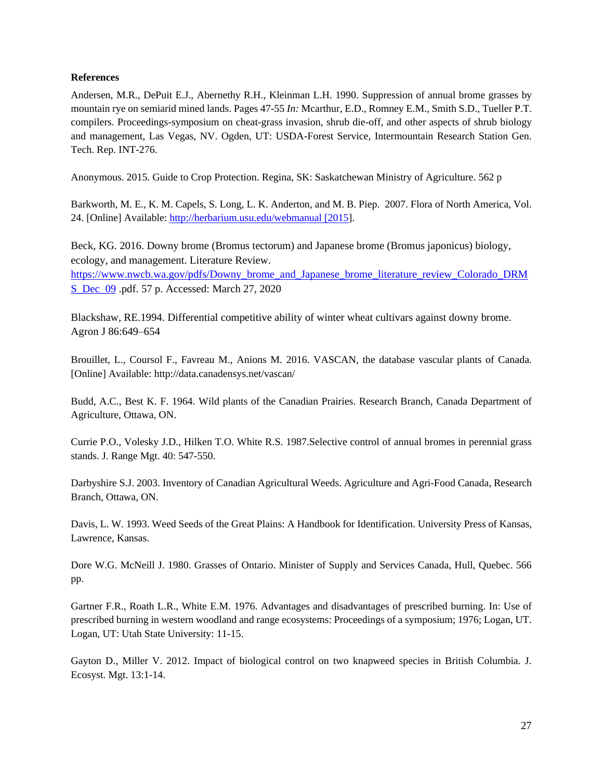## **References**

Andersen, M.R., DePuit E.J., Abernethy R.H., Kleinman L.H. 1990. Suppression of annual brome grasses by mountain rye on semiarid mined lands. Pages 47-55 *In:* Mcarthur, E.D., Romney E.M., Smith S.D., Tueller P.T. compilers. Proceedings-symposium on cheat-grass invasion, shrub die-off, and other aspects of shrub biology and management, Las Vegas, NV. Ogden, UT: USDA-Forest Service, Intermountain Research Station Gen. Tech. Rep. INT-276.

Anonymous. 2015. Guide to Crop Protection. Regina, SK: Saskatchewan Ministry of Agriculture. 562 p

Barkworth, M. E., K. M. Capels, S. Long, L. K. Anderton, and M. B. Piep. 2007. Flora of North America, Vol. 24. [Online] Available: [http://herbarium.usu.edu/webmanual \[2015\]](http://herbarium.usu.edu/webmanual%20%5b2015).

Beck, KG. 2016. Downy brome (Bromus tectorum) and Japanese brome (Bromus japonicus) biology, ecology, and management. Literature Review. https://www.nwcb.wa.gov/pdfs/Downy\_brome\_and\_Japanese\_brome\_literature\_review\_Colorado\_DRM [S\\_Dec\\_09](https://www.nwcb.wa.gov/pdfs/Downy_brome_and_Japanese_brome_literature_review_Colorado_DRM%20S_Dec_09) .pdf. 57 p. Accessed: March 27, 2020

Blackshaw, RE.1994. Differential competitive ability of winter wheat cultivars against downy brome. Agron J 86:649–654

Brouillet, L., Coursol F., Favreau M., Anions M. 2016. VASCAN, the database vascular plants of Canada. [Online] Available: http://data.canadensys.net/vascan/

Budd, A.C., Best K. F. 1964. Wild plants of the Canadian Prairies. Research Branch, Canada Department of Agriculture, Ottawa, ON.

Currie P.O., Volesky J.D., Hilken T.O. White R.S. 1987.Selective control of annual bromes in perennial grass stands. J. Range Mgt. 40: 547-550.

Darbyshire S.J. 2003. Inventory of Canadian Agricultural Weeds. Agriculture and Agri-Food Canada, Research Branch, Ottawa, ON.

Davis, L. W. 1993. Weed Seeds of the Great Plains: A Handbook for Identification. University Press of Kansas, Lawrence, Kansas.

Dore W.G. McNeill J. 1980. Grasses of Ontario. Minister of Supply and Services Canada, Hull, Quebec. 566 pp.

Gartner F.R., Roath L.R., White E.M. 1976. Advantages and disadvantages of prescribed burning. In: Use of prescribed burning in western woodland and range ecosystems: Proceedings of a symposium; 1976; Logan, UT. Logan, UT: Utah State University: 11-15.

Gayton D., Miller V. 2012. Impact of biological control on two knapweed species in British Columbia. J. Ecosyst. Mgt. 13:1-14.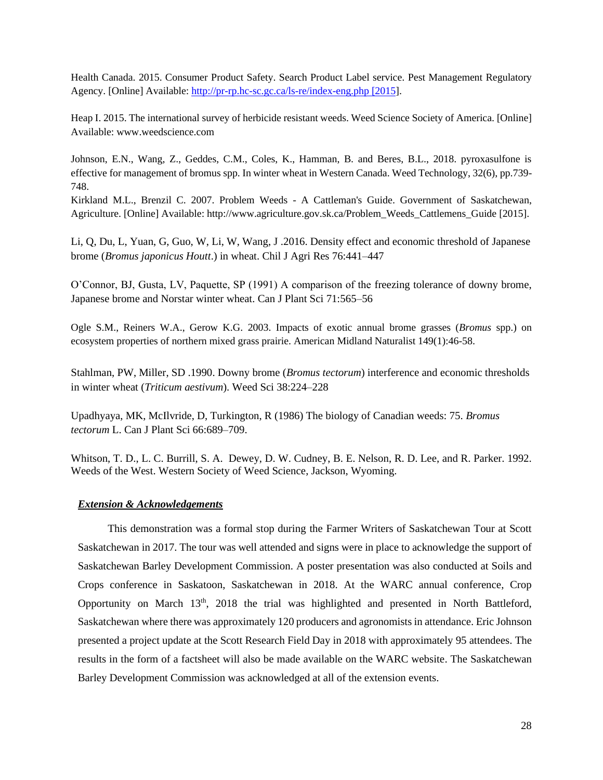Health Canada. 2015. Consumer Product Safety. Search Product Label service. Pest Management Regulatory Agency. [Online] Available: [http://pr-rp.hc-sc.gc.ca/ls-re/index-eng.php \[2015\]](http://pr-rp.hc-sc.gc.ca/ls-re/index-eng.php%20%5b2015).

Heap I. 2015. The international survey of herbicide resistant weeds. Weed Science Society of America. [Online] Available: www.weedscience.com

Johnson, E.N., Wang, Z., Geddes, C.M., Coles, K., Hamman, B. and Beres, B.L., 2018. pyroxasulfone is effective for management of bromus spp. In winter wheat in Western Canada. Weed Technology, 32(6), pp.739- 748.

Kirkland M.L., Brenzil C. 2007. Problem Weeds - A Cattleman's Guide. Government of Saskatchewan, Agriculture. [Online] Available: http://www.agriculture.gov.sk.ca/Problem\_Weeds\_Cattlemens\_Guide [2015].

Li, Q, Du, L, Yuan, G, Guo, W, Li, W, Wang, J .2016. Density effect and economic threshold of Japanese brome (*Bromus japonicus Houtt*.) in wheat. Chil J Agri Res 76:441–447

O'Connor, BJ, Gusta, LV, Paquette, SP (1991) A comparison of the freezing tolerance of downy brome, Japanese brome and Norstar winter wheat. Can J Plant Sci 71:565–56

Ogle S.M., Reiners W.A., Gerow K.G. 2003. Impacts of exotic annual brome grasses (*Bromus* spp.) on ecosystem properties of northern mixed grass prairie. American Midland Naturalist 149(1):46-58.

Stahlman, PW, Miller, SD .1990. Downy brome (*Bromus tectorum*) interference and economic thresholds in winter wheat (*Triticum aestivum*). Weed Sci 38:224–228

Upadhyaya, MK, McIlvride, D, Turkington, R (1986) The biology of Canadian weeds: 75. *Bromus tectorum* L. Can J Plant Sci 66:689–709.

Whitson, T. D., L. C. Burrill, S. A. Dewey, D. W. Cudney, B. E. Nelson, R. D. Lee, and R. Parker. 1992. Weeds of the West. Western Society of Weed Science, Jackson, Wyoming.

### *Extension & Acknowledgements*

 This demonstration was a formal stop during the Farmer Writers of Saskatchewan Tour at Scott Saskatchewan in 2017. The tour was well attended and signs were in place to acknowledge the support of Saskatchewan Barley Development Commission. A poster presentation was also conducted at Soils and Crops conference in Saskatoon, Saskatchewan in 2018. At the WARC annual conference, Crop Opportunity on March 13<sup>th</sup>, 2018 the trial was highlighted and presented in North Battleford, Saskatchewan where there was approximately 120 producers and agronomists in attendance. Eric Johnson presented a project update at the Scott Research Field Day in 2018 with approximately 95 attendees. The results in the form of a factsheet will also be made available on the WARC website. The Saskatchewan Barley Development Commission was acknowledged at all of the extension events.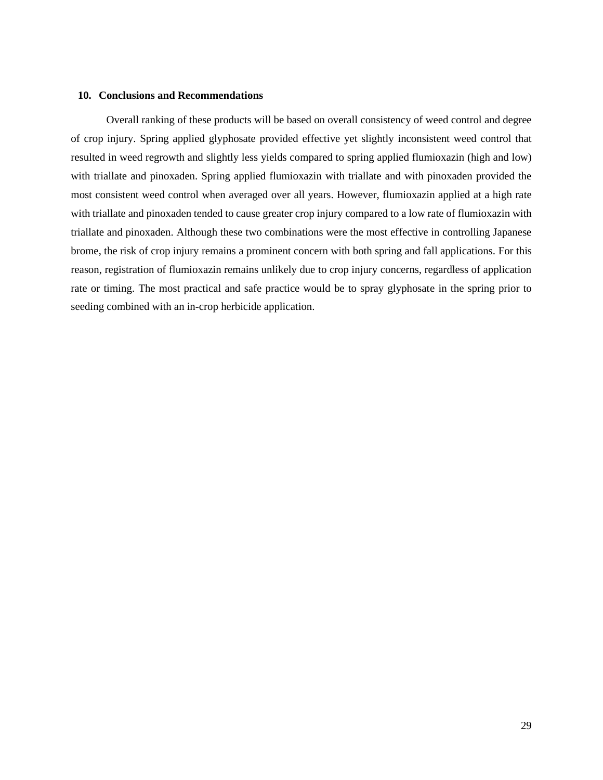## **10. Conclusions and Recommendations**

Overall ranking of these products will be based on overall consistency of weed control and degree of crop injury. Spring applied glyphosate provided effective yet slightly inconsistent weed control that resulted in weed regrowth and slightly less yields compared to spring applied flumioxazin (high and low) with triallate and pinoxaden. Spring applied flumioxazin with triallate and with pinoxaden provided the most consistent weed control when averaged over all years. However, flumioxazin applied at a high rate with triallate and pinoxaden tended to cause greater crop injury compared to a low rate of flumioxazin with triallate and pinoxaden. Although these two combinations were the most effective in controlling Japanese brome, the risk of crop injury remains a prominent concern with both spring and fall applications. For this reason, registration of flumioxazin remains unlikely due to crop injury concerns, regardless of application rate or timing. The most practical and safe practice would be to spray glyphosate in the spring prior to seeding combined with an in-crop herbicide application.